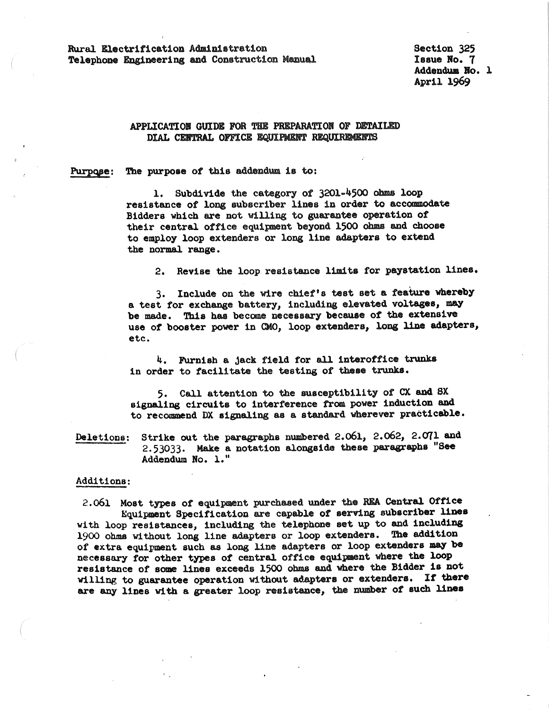Rural Electrification Adminiatration Telephone Engineering and Construction Manual Section 325 Issue No. 7 Addendum No. 1 April 1969

## APPLICATIOI GUIDE FOR THE PREPARATIOI OF DETAILED DIAL CENTRAL OFFICE **EQUIPMENT** REQUIREMENTS

## Purpose: The purpose of this addendum is to:

1. Subdivide the category of 3201-4500 obms loop resistance of long subscriber lines in order to accommodate Bidders which are not willing to guarantee operation of their central office equipment beyond 1500 ohms and choose to employ loop extenders or long line adapters to extend the normal range.

2. Revise the loop resistance limits for paystation lines.

3. Include on the wire chief's test set a feature **whereby**  a test for exchange battery, including elevated voltages, may be made. This has become necessary because of the extensive use ot booster power 1n CMO, loop extenders, long line adapters, etc.

4. Furnish a jack field for all interoffice trunks in order to facilitate the testing of these trunks.

5. Call attention to the susceptibility of CX and SX signaling circuits to interference trom power induction and to recommend DX signaling as a standard wherever practicable.

Deletions: Strike out the paragraphs numbered 2.o61, 2.o62, 2.071 and 2.53033. Make a notation alongside these paragraphs "See Addendum No. 1."

## Additions:

2.o61 Most types of equipment purchased under the REA Central Office ~quipment Specification are capable ot serving subscriber **lines**  with loop resistances, including the telephone set up to and including 1900 ohms without long line adapters or loop extenders. The addition of extra equipment such as long line adapters or loop extenders **may be**  necessary for other types of central office equipaent where the loop resistance of some lines exceeds 1500 ohms and where the Bidder is not willing to guarantee operation without adapters or extenders. It there are any lines with a greater loop resistance, the number of such lines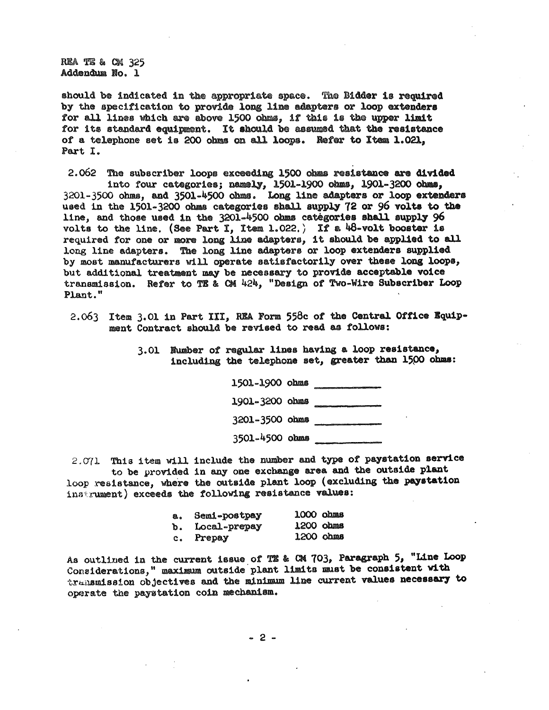REA TE & CM 325 Addendum No. 1

should be indicated in the appropriate space. The Bidder is required by the specification to provide long line adapters or loop extenders for all lines which are above 1500 ohms, if this is the upper limit for its standard equipment. It should be assumed that the resistance of a telephone set is 200 ohms on all loops. Refer to Item 1.021. Part I.

2.062 The subscriber loops exceeding 1500 ohms resistance are divided into four categories; namely, 1501-1900 obms, 1901-3200 obms, 3201-3500 ohms, and 3501-4500 obu. Long line adapters or loop extenders used in the 1501-3200 ohms categories shall supply 72 or 96 volte to the line, and those used in the 3201-4500 ohms categories shall supply 96 volts to the line. (See Part I, Item 1.022.) If a 48-volt booster is required for one or more long line adapters, it should be applied to all long line adapters. The long line adapters or loop extenders supplied by most manufacturers will operate satisfactorily over these long loops, but additional treataent may be necessary to provide acceptable voice transmission. Refer to TE & CM 424, "Design of Two-Wire Subscriber Loop Plant."

- $2.063$  Item  $3.01$  in Part III, REA Form  $558c$  of the Central Office Equipment Contract should be revised to read as follows:
	- 3.01 Jumber of regular lines having a loop resistance, including the telephone set, greater than 1500 ohms:

| 1501-1900 ohms | conservative and conservative and conservative and conservative and conservative                         |
|----------------|----------------------------------------------------------------------------------------------------------|
| 1901-3200 ohms | the contribution of the first state of the contribution of the contribution                              |
| 3201-3500 ohms | the contractor of the contractor of the contractor of the contractor of the contractor of the contractor |
| 3501-4500 ohms |                                                                                                          |

2,071 Thia item will include the number and type of paystation service to be provided in any one exchange area and the outside plant loop resistance, where the outside plant loop (excluding the paystation instrument) exceeds the following resistance values:

| a. | <b>Semi-postpay</b> | $1000$ obms |  |
|----|---------------------|-------------|--|
|    | b. Local-prepay     | $1200$ obms |  |
|    | c. Prepay           | $1200$ ohms |  |

As outlined in the current issue of TE & CM 703, Paragraph 5, "Line Loop Considerations," maximum outside plant limits must be consistent with transmission objectives and the minimum line current values necessary to operate the payatation coin mechanism.

.. 2 -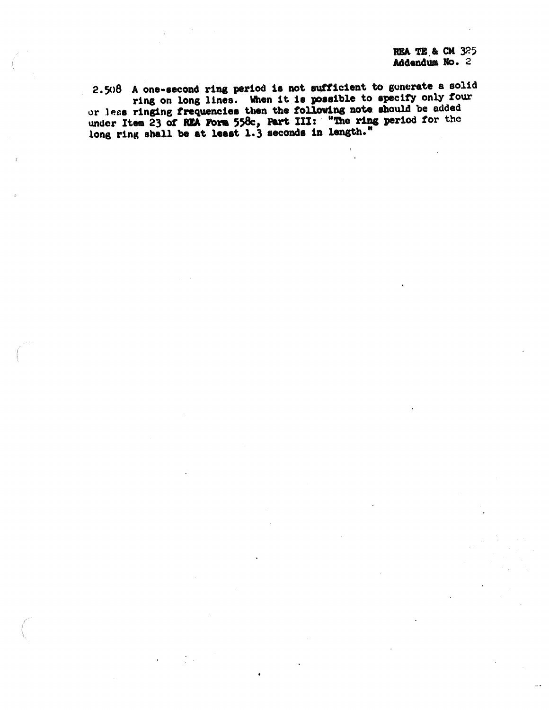2.508 A one-second ring period is not sufficient to generate a solid ring on long lines. When it is possible to specify only four<br>or less ringing frequencies then the following note should be added<br>under Item 23 of REA Form 558c, Part III: "The ring period for the<br>long ring shall be at leas